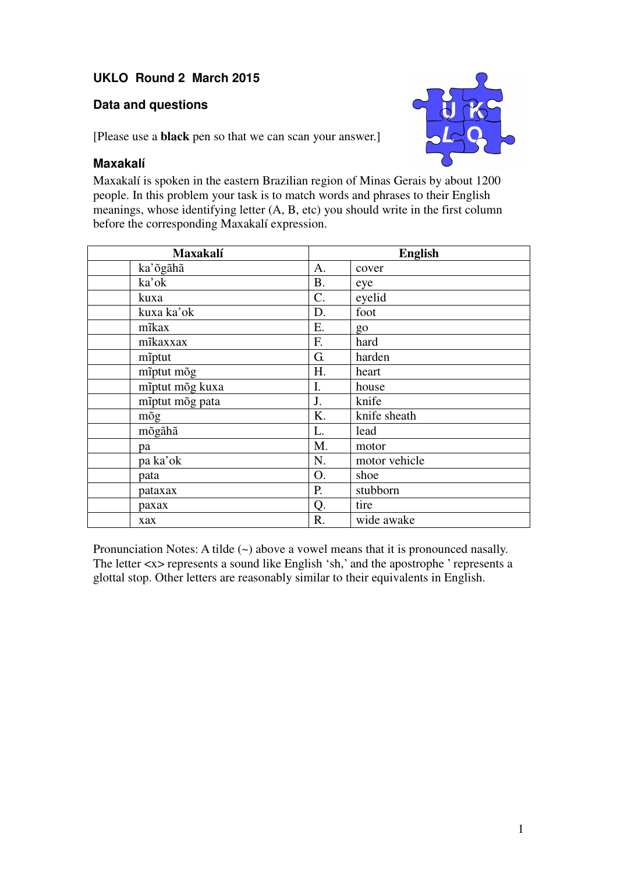## **UKLO Round 2 March 2015**

## **Data and questions**



[Please use a **black** pen so that we can scan your answer.]

## **Maxakalí**

Maxakalí is spoken in the eastern Brazilian region of Minas Gerais by about 1200 people. In this problem your task is to match words and phrases to their English meanings, whose identifying letter (A, B, etc) you should write in the first column before the corresponding Maxakalí expression.

| <b>Maxakalí</b> | <b>English</b> |               |
|-----------------|----------------|---------------|
| ka'õgãhã        | A.             | cover         |
| ka'ok           | B.             | eye           |
| kuxa            | C.             | eyelid        |
| kuxa ka'ok      | D.             | foot          |
| mîkax           | Ε.             | go            |
| mīkaxxax        | F.             | hard          |
| miptut          | G.             | harden        |
| mīptut mõg      | H.             | heart         |
| mīptut mõg kuxa | I.             | house         |
| mīptut mõg pata | J.             | knife         |
| mõg             | Κ.             | knife sheath  |
| mõgãhã          | L.             | lead          |
| pa              | M.             | motor         |
| pa ka'ok        | N.             | motor vehicle |
| pata            | O.             | shoe          |
| pataxax         | P.             | stubborn      |
| рахах           | Q.             | tire          |
| xax             | R.             | wide awake    |

Pronunciation Notes: A tilde (~) above a vowel means that it is pronounced nasally. The letter <x> represents a sound like English 'sh,' and the apostrophe ' represents a glottal stop. Other letters are reasonably similar to their equivalents in English.